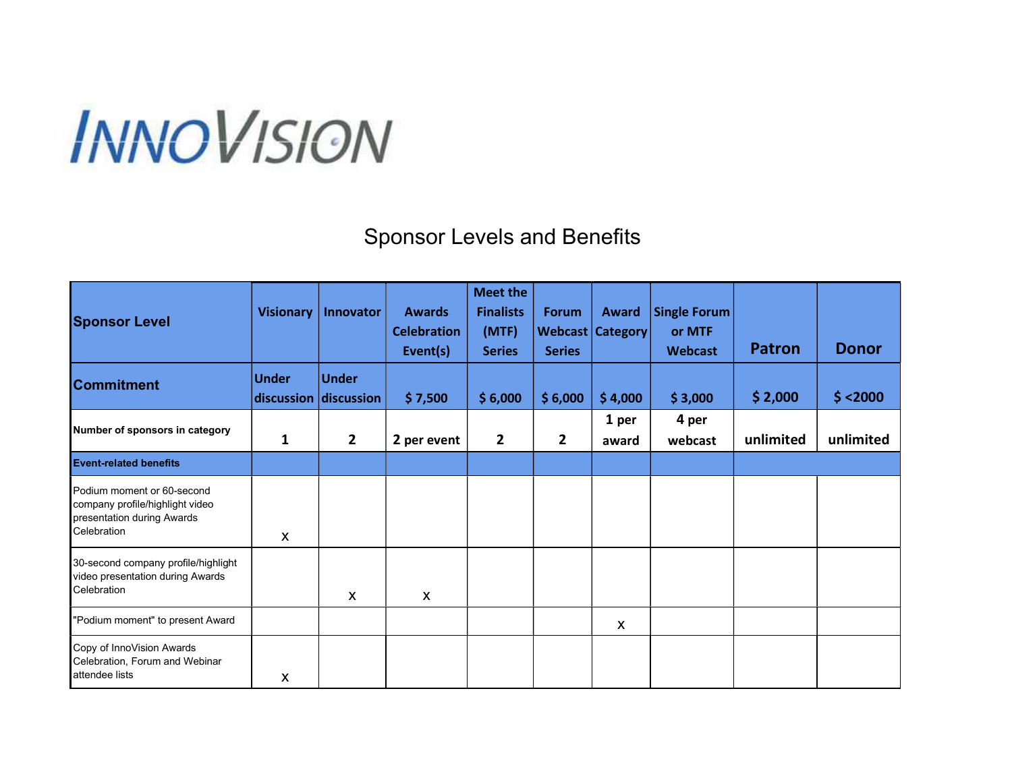## **INNOVISION**

## Sponsor Levels and Benefits

| <b>Sponsor Level</b>                                                                                       | <b>Visionary</b>          | Innovator                             | <b>Awards</b><br><b>Celebration</b><br>Event(s) | <b>Meet the</b><br><b>Finalists</b><br>(MTF)<br><b>Series</b> | <b>Forum</b><br><b>Series</b> | <b>Award</b><br><b>Webcast Category</b> | <b>Single Forum</b><br>or MTF<br><b>Webcast</b> | <b>Patron</b> | <b>Donor</b> |
|------------------------------------------------------------------------------------------------------------|---------------------------|---------------------------------------|-------------------------------------------------|---------------------------------------------------------------|-------------------------------|-----------------------------------------|-------------------------------------------------|---------------|--------------|
| <b>Commitment</b>                                                                                          | Under                     | <b>Under</b><br>discussion discussion | \$7,500                                         | \$6,000                                                       | \$6,000                       | \$4,000                                 | \$3,000                                         | \$2,000       | \$ < 2000    |
| Number of sponsors in category                                                                             | $\mathbf{1}$              | $\overline{2}$                        | 2 per event                                     | $\mathbf{2}$                                                  | $\overline{2}$                | 1 per<br>award                          | 4 per<br>webcast                                | unlimited     | unlimited    |
| <b>Event-related benefits</b>                                                                              |                           |                                       |                                                 |                                                               |                               |                                         |                                                 |               |              |
| Podium moment or 60-second<br>company profile/highlight video<br>presentation during Awards<br>Celebration | $\boldsymbol{\mathsf{X}}$ |                                       |                                                 |                                                               |                               |                                         |                                                 |               |              |
| 30-second company profile/highlight<br>video presentation during Awards<br>Celebration                     |                           | $\boldsymbol{\mathsf{X}}$             | X                                               |                                                               |                               |                                         |                                                 |               |              |
| "Podium moment" to present Award                                                                           |                           |                                       |                                                 |                                                               |                               | X                                       |                                                 |               |              |
| Copy of InnoVision Awards<br>Celebration, Forum and Webinar<br>attendee lists                              | X                         |                                       |                                                 |                                                               |                               |                                         |                                                 |               |              |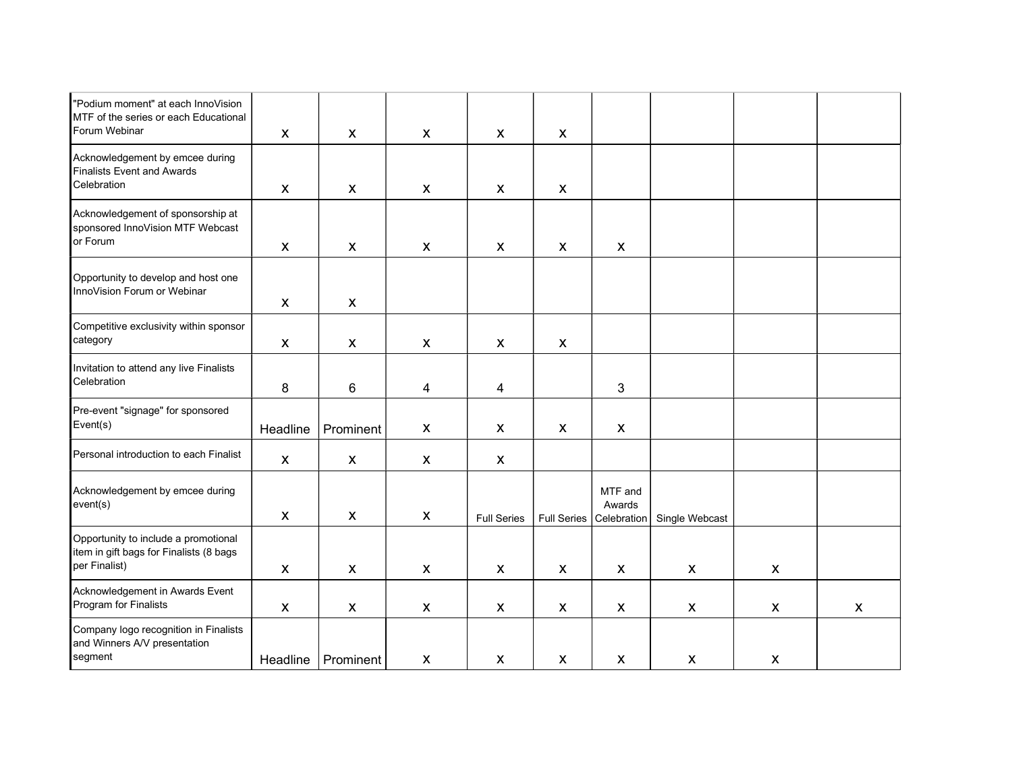| "Podium moment" at each InnoVision<br>MTF of the series or each Educational<br>Forum Webinar     | $\mathsf{X}$              | $\mathsf{x}$              | $\mathsf{X}$              | $\mathsf{X}$       | $\boldsymbol{X}$          |                                  |                |                    |                    |
|--------------------------------------------------------------------------------------------------|---------------------------|---------------------------|---------------------------|--------------------|---------------------------|----------------------------------|----------------|--------------------|--------------------|
| Acknowledgement by emcee during<br><b>Finalists Event and Awards</b><br>Celebration              | $\boldsymbol{\mathsf{X}}$ | $\mathsf{x}$              | $\boldsymbol{\mathsf{X}}$ | $\mathsf{X}$       | $\boldsymbol{\mathsf{X}}$ |                                  |                |                    |                    |
| Acknowledgement of sponsorship at<br>sponsored InnoVision MTF Webcast<br>or Forum                | $\boldsymbol{\mathsf{X}}$ | $\boldsymbol{\mathsf{X}}$ | $\boldsymbol{\mathsf{X}}$ | $\mathsf{X}$       | X                         | X                                |                |                    |                    |
| Opportunity to develop and host one<br>InnoVision Forum or Webinar                               | X                         | $\mathsf{x}$              |                           |                    |                           |                                  |                |                    |                    |
| Competitive exclusivity within sponsor<br>category                                               | $\pmb{\mathsf{X}}$        | $\pmb{\mathsf{X}}$        | $\boldsymbol{\mathsf{X}}$ | $\mathsf{X}$       | $\boldsymbol{\mathsf{X}}$ |                                  |                |                    |                    |
| Invitation to attend any live Finalists<br>Celebration                                           | 8                         | 6                         | 4                         | 4                  |                           | 3                                |                |                    |                    |
| Pre-event "signage" for sponsored<br>Event(s)                                                    | Headline                  | Prominent                 | X                         | X                  | $\boldsymbol{X}$          | $\boldsymbol{\mathsf{X}}$        |                |                    |                    |
| Personal introduction to each Finalist                                                           | $\pmb{\mathsf{X}}$        | $\mathsf{x}$              | X                         | $\boldsymbol{X}$   |                           |                                  |                |                    |                    |
| Acknowledgement by emcee during<br>event(s)                                                      | $\mathsf{X}$              | $\mathsf{x}$              | $\boldsymbol{\mathsf{X}}$ | <b>Full Series</b> | Full Series               | MTF and<br>Awards<br>Celebration | Single Webcast |                    |                    |
| Opportunity to include a promotional<br>item in gift bags for Finalists (8 bags<br>per Finalist) | $\pmb{\mathsf{X}}$        | $\pmb{\mathsf{X}}$        | X                         | $\mathsf{X}$       | $\pmb{\mathsf{X}}$        | X                                | X              | X                  |                    |
| Acknowledgement in Awards Event<br>Program for Finalists                                         | $\pmb{\mathsf{X}}$        | $\pmb{\mathsf{X}}$        | $\pmb{\mathsf{X}}$        | $\pmb{\mathsf{X}}$ | $\pmb{\mathsf{X}}$        | $\pmb{\mathsf{X}}$               | X              | $\pmb{\mathsf{X}}$ | $\pmb{\mathsf{X}}$ |
| Company logo recognition in Finalists<br>and Winners A/V presentation<br>segment                 | Headline                  | Prominent                 | $\boldsymbol{\mathsf{X}}$ | X                  | $\boldsymbol{\mathsf{X}}$ | $\boldsymbol{\mathsf{X}}$        | X              | $\mathsf{X}$       |                    |